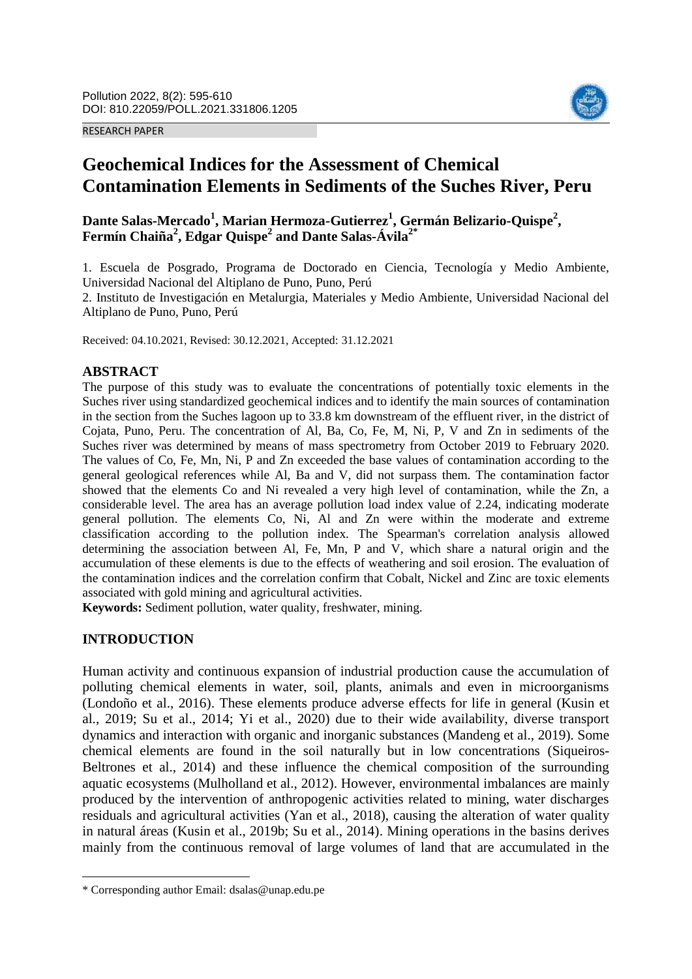RESEARCH PAPER



# **Geochemical Indices for the Assessment of Chemical Contamination Elements in Sediments of the Suches River, Peru**

**Dante Salas-Mercado<sup>1</sup> , Marian Hermoza-Gutierrez<sup>1</sup> , Germán Belizario-Quispe<sup>2</sup> , Fermín Chaiña<sup>2</sup> , Edgar Quispe<sup>2</sup> and Dante Salas-Ávila2\***

1. Escuela de Posgrado, Programa de Doctorado en Ciencia, Tecnología y Medio Ambiente, Universidad Nacional del Altiplano de Puno, Puno, Perú

2. Instituto de Investigación en Metalurgia, Materiales y Medio Ambiente, Universidad Nacional del Altiplano de Puno, Puno, Perú

Received: 04.10.2021, Revised: 30.12.2021, Accepted: 31.12.2021

#### **ABSTRACT**

The purpose of this study was to evaluate the concentrations of potentially toxic elements in the Suches river using standardized geochemical indices and to identify the main sources of contamination in the section from the Suches lagoon up to 33.8 km downstream of the effluent river, in the district of Cojata, Puno, Peru. The concentration of Al, Ba, Co, Fe, M, Ni, P, V and Zn in sediments of the Suches river was determined by means of mass spectrometry from October 2019 to February 2020. The values of Co, Fe, Mn, Ni, P and Zn exceeded the base values of contamination according to the general geological references while Al, Ba and V, did not surpass them. The contamination factor showed that the elements Co and Ni revealed a very high level of contamination, while the Zn, a considerable level. The area has an average pollution load index value of 2.24, indicating moderate general pollution. The elements Co, Ni, Al and Zn were within the moderate and extreme classification according to the pollution index. The Spearman's correlation analysis allowed determining the association between Al, Fe, Mn, P and V, which share a natural origin and the accumulation of these elements is due to the effects of weathering and soil erosion. The evaluation of the contamination indices and the correlation confirm that Cobalt, Nickel and Zinc are toxic elements associated with gold mining and agricultural activities.

**Keywords:** Sediment pollution, water quality, freshwater, mining.

## **INTRODUCTION**

 $\overline{\phantom{a}}$ 

Human activity and continuous expansion of industrial production cause the accumulation of polluting chemical elements in water, soil, plants, animals and even in microorganisms (Londoño et al., 2016). These elements produce adverse effects for life in general (Kusin et al., 2019; Su et al., 2014; Yi et al., 2020) due to their wide availability, diverse transport dynamics and interaction with organic and inorganic substances (Mandeng et al., 2019). Some chemical elements are found in the soil naturally but in low concentrations (Siqueiros-Beltrones et al., 2014) and these influence the chemical composition of the surrounding aquatic ecosystems (Mulholland et al., 2012). However, environmental imbalances are mainly produced by the intervention of anthropogenic activities related to mining, water discharges residuals and agricultural activities (Yan et al., 2018), causing the alteration of water quality in natural áreas (Kusin et al., 2019b; Su et al., 2014). Mining operations in the basins derives mainly from the continuous removal of large volumes of land that are accumulated in the

<sup>\*</sup> Corresponding author Email: dsalas@unap.edu.pe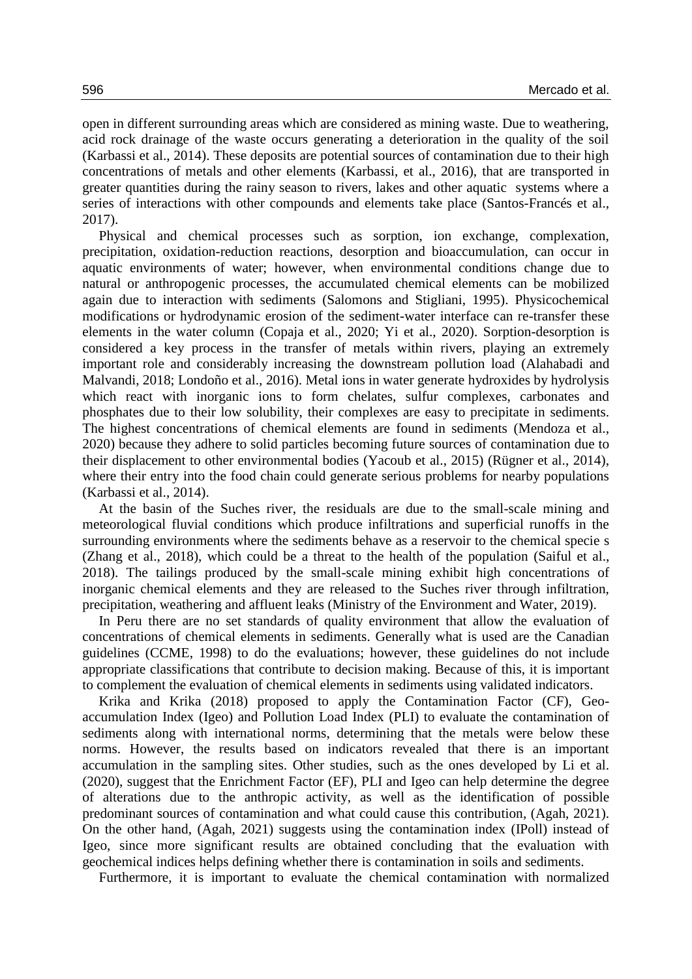open in different surrounding areas which are considered as mining waste. Due to weathering, acid rock drainage of the waste occurs generating a deterioration in the quality of the soil (Karbassi et al., 2014). These deposits are potential sources of contamination due to their high concentrations of metals and other elements (Karbassi, et al., 2016), that are transported in greater quantities during the rainy season to rivers, lakes and other aquatic systems where a series of interactions with other compounds and elements take place (Santos-Francés et al., 2017).

Physical and chemical processes such as sorption, ion exchange, complexation, precipitation, oxidation-reduction reactions, desorption and bioaccumulation, can occur in aquatic environments of water; however, when environmental conditions change due to natural or anthropogenic processes, the accumulated chemical elements can be mobilized again due to interaction with sediments (Salomons and Stigliani, 1995). Physicochemical modifications or hydrodynamic erosion of the sediment-water interface can re-transfer these elements in the water column (Copaja et al., 2020; Yi et al., 2020). Sorption-desorption is considered a key process in the transfer of metals within rivers, playing an extremely important role and considerably increasing the downstream pollution load (Alahabadi and Malvandi, 2018; Londoño et al., 2016). Metal ions in water generate hydroxides by hydrolysis which react with inorganic ions to form chelates, sulfur complexes, carbonates and phosphates due to their low solubility, their complexes are easy to precipitate in sediments. The highest concentrations of chemical elements are found in sediments (Mendoza et al., 2020) because they adhere to solid particles becoming future sources of contamination due to their displacement to other environmental bodies (Yacoub et al., 2015) (Rügner et al., 2014), where their entry into the food chain could generate serious problems for nearby populations (Karbassi et al., 2014).

At the basin of the Suches river, the residuals are due to the small-scale mining and meteorological fluvial conditions which produce infiltrations and superficial runoffs in the surrounding environments where the sediments behave as a reservoir to the chemical specie s (Zhang et al., 2018), which could be a threat to the health of the population (Saiful et al., 2018). The tailings produced by the small-scale mining exhibit high concentrations of inorganic chemical elements and they are released to the Suches river through infiltration, precipitation, weathering and affluent leaks (Ministry of the Environment and Water, 2019).

In Peru there are no set standards of quality environment that allow the evaluation of concentrations of chemical elements in sediments. Generally what is used are the Canadian guidelines (CCME, 1998) to do the evaluations; however, these guidelines do not include appropriate classifications that contribute to decision making. Because of this, it is important to complement the evaluation of chemical elements in sediments using validated indicators.

Krika and Krika (2018) proposed to apply the Contamination Factor (CF), Geoaccumulation Index (Igeo) and Pollution Load Index (PLI) to evaluate the contamination of sediments along with international norms, determining that the metals were below these norms. However, the results based on indicators revealed that there is an important accumulation in the sampling sites. Other studies, such as the ones developed by Li et al. (2020), suggest that the Enrichment Factor (EF), PLI and Igeo can help determine the degree of alterations due to the anthropic activity, as well as the identification of possible predominant sources of contamination and what could cause this contribution, (Agah, 2021). On the other hand, (Agah, 2021) suggests using the contamination index (IPoll) instead of Igeo, since more significant results are obtained concluding that the evaluation with geochemical indices helps defining whether there is contamination in soils and sediments.

Furthermore, it is important to evaluate the chemical contamination with normalized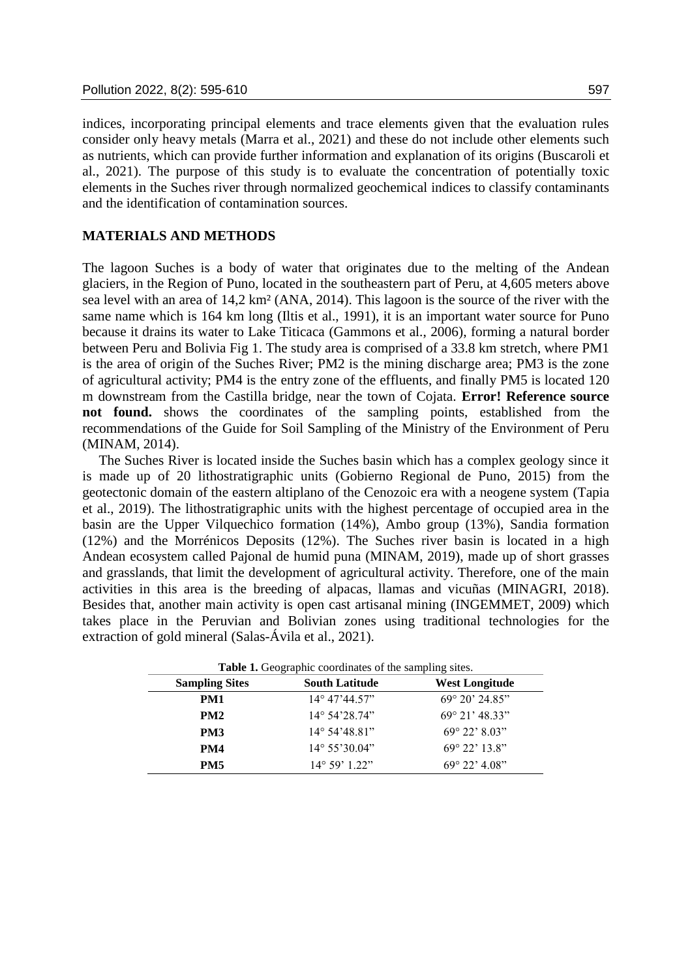indices, incorporating principal elements and trace elements given that the evaluation rules consider only heavy metals (Marra et al., 2021) and these do not include other elements such as nutrients, which can provide further information and explanation of its origins (Buscaroli et al., 2021). The purpose of this study is to evaluate the concentration of potentially toxic elements in the Suches river through normalized geochemical indices to classify contaminants and the identification of contamination sources.

## **MATERIALS AND METHODS**

The lagoon Suches is a body of water that originates due to the melting of the Andean glaciers, in the Region of Puno, located in the southeastern part of Peru, at 4,605 meters above sea level with an area of 14,2 km² (ANA, 2014). This lagoon is the source of the river with the same name which is 164 km long (Iltis et al., 1991), it is an important water source for Puno because it drains its water to Lake Titicaca (Gammons et al., 2006), forming a natural border between Peru and Bolivia [Fig 1.](#page-3-0) The study area is comprised of a 33.8 km stretch, where PM1 is the area of origin of the Suches River; PM2 is the mining discharge area; PM3 is the zone of agricultural activity; PM4 is the entry zone of the effluents, and finally PM5 is located 120 m downstream from the Castilla bridge, near the town of Cojata. **Error! Reference source not found.** shows the coordinates of the sampling points, established from the recommendations of the Guide for Soil Sampling of the Ministry of the Environment of Peru (MINAM, 2014).

The Suches River is located inside the Suches basin which has a complex geology since it is made up of 20 lithostratigraphic units (Gobierno Regional de Puno, 2015) from the geotectonic domain of the eastern altiplano of the Cenozoic era with a neogene system (Tapia et al., 2019). The lithostratigraphic units with the highest percentage of occupied area in the basin are the Upper Vilquechico formation (14%), Ambo group (13%), Sandia formation (12%) and the Morrénicos Deposits (12%). The Suches river basin is located in a high Andean ecosystem called Pajonal de humid puna (MINAM, 2019), made up of short grasses and grasslands, that limit the development of agricultural activity. Therefore, one of the main activities in this area is the breeding of alpacas, llamas and vicuñas (MINAGRI, 2018). Besides that, another main activity is open cast artisanal mining (INGEMMET, 2009) which takes place in the Peruvian and Bolivian zones using traditional technologies for the extraction of gold mineral (Salas-Ávila et al., 2021).

| <b>Sampling Sites</b> | <b>South Latitude</b>   | West Longitude          |
|-----------------------|-------------------------|-------------------------|
| PM1                   | $14^{\circ}$ 47'44.57"  | $69^{\circ}$ 20' 24.85" |
| PM <sub>2</sub>       | $14^{\circ} 54' 28.74"$ | $69^{\circ}$ 21' 48.33" |
| PM <sub>3</sub>       | $14^{\circ}$ 54'48.81"  | $69^{\circ}$ 22' 8.03"  |
| PM4                   | $14^{\circ} 55'30.04"$  | $69^{\circ}$ 22' 13.8"  |
| <b>PM5</b>            | $14^{\circ} 59' 1.22"$  | $69^{\circ}$ 22' 4.08"  |

**Table 1.** Geographic coordinates of the sampling sites.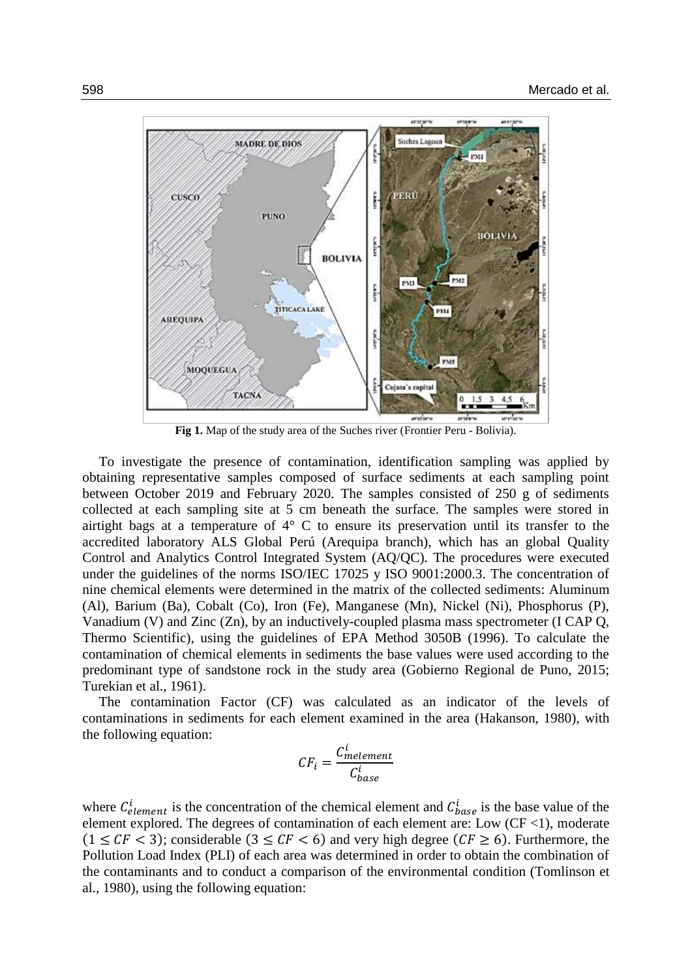

**Fig 1.** Map of the study area of the Suches river (Frontier Peru - Bolivia).

<span id="page-3-0"></span>To investigate the presence of contamination, identification sampling was applied by obtaining representative samples composed of surface sediments at each sampling point between October 2019 and February 2020. The samples consisted of 250 g of sediments collected at each sampling site at 5 cm beneath the surface. The samples were stored in airtight bags at a temperature of 4° C to ensure its preservation until its transfer to the accredited laboratory ALS Global Perú (Arequipa branch), which has an global Quality Control and Analytics Control Integrated System (AQ/QC). The procedures were executed under the guidelines of the norms ISO/IEC 17025 y ISO 9001:2000.3. The concentration of nine chemical elements were determined in the matrix of the collected sediments: Aluminum (Al), Barium (Ba), Cobalt (Co), Iron (Fe), Manganese (Mn), Nickel (Ni), Phosphorus (P), Vanadium (V) and Zinc (Zn), by an inductively-coupled plasma mass spectrometer (I CAP Q, Thermo Scientific), using the guidelines of EPA Method 3050B (1996). To calculate the contamination of chemical elements in sediments the base values were used according to the predominant type of sandstone rock in the study area (Gobierno Regional de Puno, 2015; Turekian et al., 1961).

The contamination Factor (CF) was calculated as an indicator of the levels of contaminations in sediments for each element examined in the area (Hakanson, 1980), with the following equation:

$$
CF_i = \frac{C_{melement}^i}{C_{base}^i}
$$

where  $C_{element}^i$  is the concentration of the chemical element and  $C_{base}^i$  is the base value of the element explored. The degrees of contamination of each element are: Low  $(CF < 1)$ , moderate  $(1 \leq CF < 3)$ ; considerable  $(3 \leq CF < 6)$  and very high degree  $(CF \geq 6)$ . Furthermore, the Pollution Load Index (PLI) of each area was determined in order to obtain the combination of the contaminants and to conduct a comparison of the environmental condition (Tomlinson et al., 1980), using the following equation: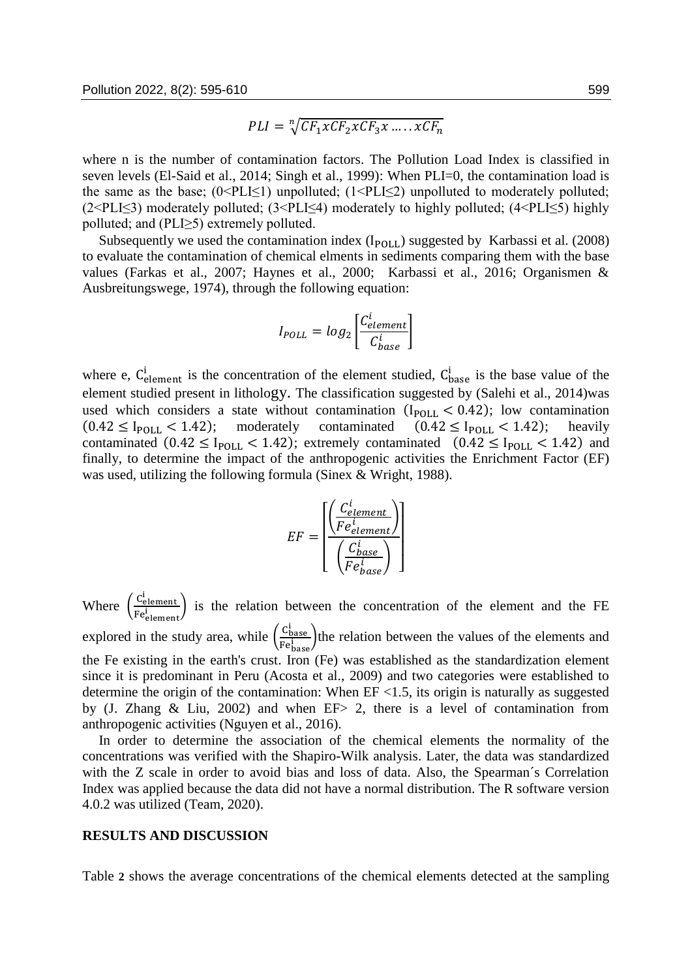$$
PLI = \sqrt[n]{CF_1 \times CF_2 \times CF_3 \times \dots \times CF_n}
$$

where n is the number of contamination factors. The Pollution Load Index is classified in seven levels (El-Said et al., 2014; Singh et al., 1999): When PLI=0, the contamination load is the same as the base;  $(0 \leq PL \leq 1)$  unpolluted;  $(1 \leq PL \leq 2)$  unpolluted to moderately polluted; (2<PLI≤3) moderately polluted; (3<PLI≤4) moderately to highly polluted; (4<PLI≤5) highly polluted; and (PLI≥5) extremely polluted.

Subsequently we used the contamination index  $(I_{POLL})$  suggested by Karbassi et al. (2008) to evaluate the contamination of chemical elments in sediments comparing them with the base values (Farkas et al., 2007; Haynes et al., 2000; Karbassi et al., 2016; Organismen & Ausbreitungswege, 1974), through the following equation:

$$
I_{POLL} = log_2 \left[ \frac{C_{element}^i}{C_{base}^i} \right]
$$

where e,  $C_{\text{element}}^i$  is the concentration of the element studied,  $C_{\text{base}}^i$  is the base value of the element studied present in lithology. The classification suggested by (Salehi et al., 2014)was used which considers a state without contamination  $(I_{POLL} < 0.42)$ ; low contamination  $(0.42 \le I_{\text{POLL}} < 1.42);$  moderately contaminated  $(0.42 \le I_{\text{POLL}} < 1.42);$  heavily contaminated  $(0.42 \le I_{\text{POLL}} < 1.42)$ ; extremely contaminated  $(0.42 \le I_{\text{POLL}} < 1.42)$  and finally, to determine the impact of the anthropogenic activities the Enrichment Factor (EF) was used, utilizing the following formula (Sinex & Wright, 1988).

$$
EF = \left[ \frac{\left(\frac{C_{element}^{i}}{Fe_{element}^{i}}\right)}{\left(\frac{C_{base}^{i}}{Fe_{base}^{i}}\right)} \right]
$$

Where  $\left(\frac{C_{\text{element}}^i}{F_i}\right)$  $\frac{V_{\text{element}}}{F_{\text{element}}}$  is the relation between the concentration of the element and the FE explored in the study area, while  $\left(\frac{C_{base}^i}{E_A}\right)$  $\frac{\text{Cbase}}{\text{Fe}_{\text{base}}^{\text{i}}}$  the relation between the values of the elements and the Fe existing in the earth's crust. Iron (Fe) was established as the standardization element since it is predominant in Peru (Acosta et al., 2009) and two categories were established to determine the origin of the contamination: When EF <1.5, its origin is naturally as suggested by (J. Zhang & Liu, 2002) and when EF> 2, there is a level of contamination from anthropogenic activities (Nguyen et al., 2016).

In order to determine the association of the chemical elements the normality of the concentrations was verified with the Shapiro-Wilk analysis. Later, the data was standardized with the Z scale in order to avoid bias and loss of data. Also, the Spearman´s Correlation Index was applied because the data did not have a normal distribution. The R software version 4.0.2 was utilized (Team, 2020).

#### **RESULTS AND DISCUSSION**

[Table](#page-5-0) **2** shows the average concentrations of the chemical elements detected at the sampling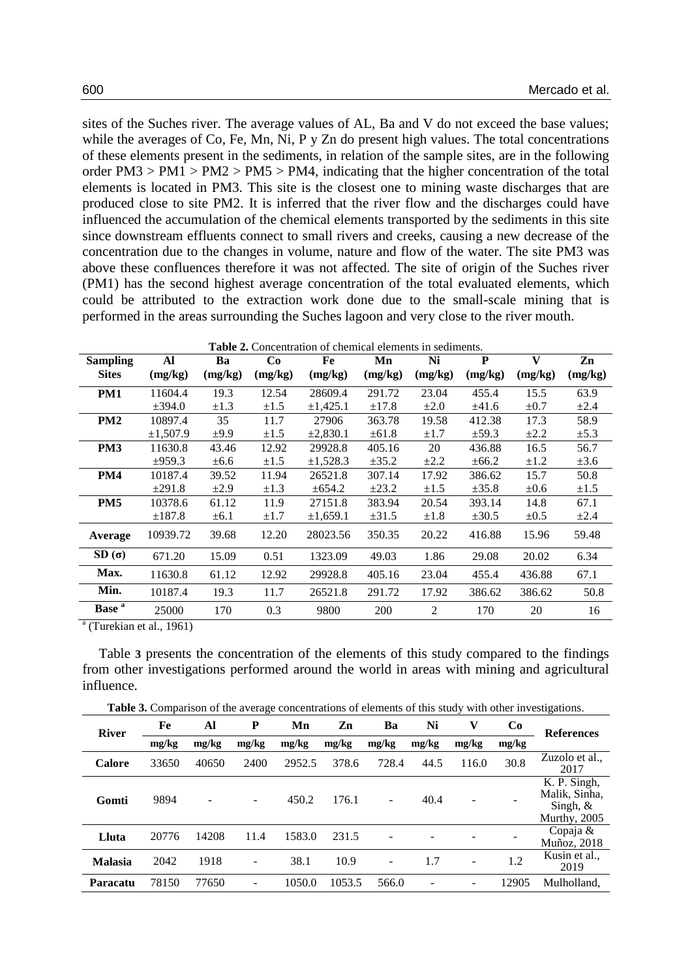sites of the Suches river. The average values of AL, Ba and V do not exceed the base values; while the averages of Co, Fe, Mn, Ni, P y Zn do present high values. The total concentrations of these elements present in the sediments, in relation of the sample sites, are in the following order  $PM3 > PM1 > PM2 > PM5 > PM4$ , indicating that the higher concentration of the total elements is located in PM3. This site is the closest one to mining waste discharges that are produced close to site PM2. It is inferred that the river flow and the discharges could have influenced the accumulation of the chemical elements transported by the sediments in this site since downstream effluents connect to small rivers and creeks, causing a new decrease of the concentration due to the changes in volume, nature and flow of the water. The site PM3 was above these confluences therefore it was not affected. The site of origin of the Suches river (PM1) has the second highest average concentration of the total evaluated elements, which could be attributed to the extraction work done due to the small-scale mining that is performed in the areas surrounding the Suches lagoon and very close to the river mouth.

<span id="page-5-0"></span>

|                   | <b>Table 2.</b> Concentration of chemical elements in sediments. |           |           |               |            |           |            |              |           |  |  |  |
|-------------------|------------------------------------------------------------------|-----------|-----------|---------------|------------|-----------|------------|--------------|-----------|--|--|--|
| <b>Sampling</b>   | Al                                                               | Ba        | Co        | Fe            | Mn         | Ni        | P          | $\mathbf{V}$ | Zn        |  |  |  |
| <b>Sites</b>      | (mg/kg)                                                          | (mg/kg)   | (mg/kg)   | (mg/kg)       | (mg/kg)    | (mg/kg)   | (mg/kg)    | (mg/kg)      | (mg/kg)   |  |  |  |
| PM1               | 11604.4                                                          | 19.3      | 12.54     | 28609.4       | 291.72     | 23.04     | 455.4      | 15.5         | 63.9      |  |  |  |
|                   | ±394.0                                                           | $\pm 1.3$ | $\pm 1.5$ | ±1.425.1      | $\pm 17.8$ | $\pm 2.0$ | ±41.6      | $\pm 0.7$    | $\pm 2.4$ |  |  |  |
| PM <sub>2</sub>   | 10897.4                                                          | 35        | 11.7      | 27906         | 363.78     | 19.58     | 412.38     | 17.3         | 58.9      |  |  |  |
|                   | ±1,507.9                                                         | ±9.9      | $\pm 1.5$ | $\pm 2,830.1$ | $\pm 61.8$ | $\pm 1.7$ | $\pm$ 59.3 | $\pm 2.2$    | $\pm$ 5.3 |  |  |  |
| PM <sub>3</sub>   | 11630.8                                                          | 43.46     | 12.92     | 29928.8       | 405.16     | 20        | 436.88     | 16.5         | 56.7      |  |  |  |
|                   | ±959.3                                                           | $\pm 6.6$ | $\pm 1.5$ | $\pm 1,528.3$ | $\pm 35.2$ | $\pm 2.2$ | $\pm 66.2$ | $\pm 1.2$    | $\pm 3.6$ |  |  |  |
| PM4               | 10187.4                                                          | 39.52     | 11.94     | 26521.8       | 307.14     | 17.92     | 386.62     | 15.7         | 50.8      |  |  |  |
|                   | ±291.8                                                           | $\pm 2.9$ | $\pm 1.3$ | $\pm 654.2$   | $\pm 23.2$ | $\pm 1.5$ | $\pm 35.8$ | $\pm 0.6$    | $\pm 1.5$ |  |  |  |
| PM <sub>5</sub>   | 10378.6                                                          | 61.12     | 11.9      | 27151.8       | 383.94     | 20.54     | 393.14     | 14.8         | 67.1      |  |  |  |
|                   | $\pm 187.8$                                                      | $\pm 6.1$ | $\pm 1.7$ | $\pm 1,659.1$ | $\pm 31.5$ | $\pm 1.8$ | $\pm 30.5$ | $\pm 0.5$    | $\pm 2.4$ |  |  |  |
| Average           | 10939.72                                                         | 39.68     | 12.20     | 28023.56      | 350.35     | 20.22     | 416.88     | 15.96        | 59.48     |  |  |  |
| $SD(\sigma)$      | 671.20                                                           | 15.09     | 0.51      | 1323.09       | 49.03      | 1.86      | 29.08      | 20.02        | 6.34      |  |  |  |
| Max.              | 11630.8                                                          | 61.12     | 12.92     | 29928.8       | 405.16     | 23.04     | 455.4      | 436.88       | 67.1      |  |  |  |
| Min.              | 10187.4                                                          | 19.3      | 11.7      | 26521.8       | 291.72     | 17.92     | 386.62     | 386.62       | 50.8      |  |  |  |
| Base <sup>a</sup> | 25000                                                            | 170       | 0.3       | 9800          | 200        | 2         | 170        | 20           | 16        |  |  |  |

<sup>a</sup> (Turekian et al., 1961)

[Table](#page-5-1) **3** presents the concentration of the elements of this study compared to the findings from other investigations performed around the world in areas with mining and agricultural influence.

**Table 3.** Comparison of the average concentrations of elements of this study with other investigations.

<span id="page-5-1"></span>

| <b>River</b>    | Fe    | Al    | P     | Mn     | Zn     | Ba    | Ni    | V     | Co    | <b>References</b>                                           |
|-----------------|-------|-------|-------|--------|--------|-------|-------|-------|-------|-------------------------------------------------------------|
|                 | mg/kg | mg/kg | mg/kg | mg/kg  | mg/kg  | mg/kg | mg/kg | mg/kg | mg/kg |                                                             |
| <b>Calore</b>   | 33650 | 40650 | 2400  | 2952.5 | 378.6  | 728.4 | 44.5  | 116.0 | 30.8  | Zuzolo et al.,<br>2017                                      |
| Gomti           | 9894  |       |       | 450.2  | 176.1  |       | 40.4  |       |       | K. P. Singh,<br>Malik, Sinha,<br>Singh, $&$<br>Murthy, 2005 |
| Lluta           | 20776 | 14208 | 11.4  | 1583.0 | 231.5  |       |       |       |       | Copaja &<br>Muñoz, 2018                                     |
| <b>Malasia</b>  | 2042  | 1918  | -     | 38.1   | 10.9   |       | 1.7   |       | 1.2   | Kusin et al.,<br>2019                                       |
| <b>Paracatu</b> | 78150 | 77650 |       | 1050.0 | 1053.5 | 566.0 |       |       | 12905 | Mulholland.                                                 |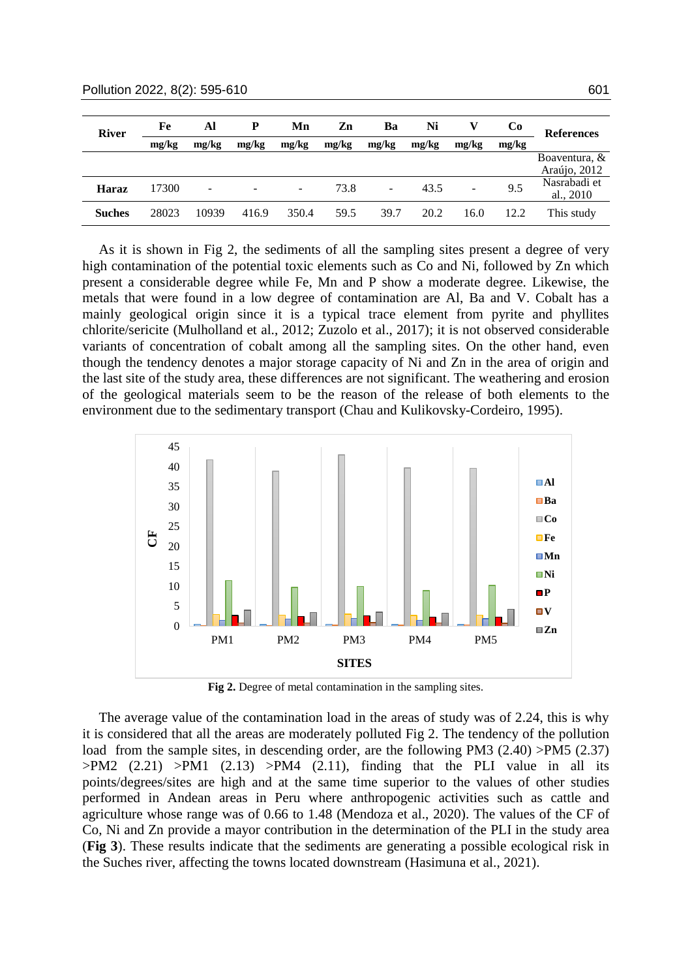| <b>River</b>  | Fe    | Al    |       | Mn    | Zn    | Ba    | Ni    |                          | C <sub>0</sub> | <b>References</b>                |  |
|---------------|-------|-------|-------|-------|-------|-------|-------|--------------------------|----------------|----------------------------------|--|
|               | mg/kg | mg/kg | mg/kg | mg/kg | mg/kg | mg/kg | mg/kg | mg/kg                    | mg/kg          |                                  |  |
|               |       |       |       |       |       |       |       |                          |                | Boaventura, $\&$<br>Araújo, 2012 |  |
| <b>Haraz</b>  | 17300 |       |       | -     | 73.8  | ۰.    | 43.5  | $\overline{\phantom{0}}$ | 9.5            | Nasrabadi et<br>al., $2010$      |  |
| <b>Suches</b> | 28023 | 10939 | 416.9 | 350.4 | 59.5  | 39.7  | 20.2  | 16.0                     | 12.2           | This study                       |  |

As it is shown in [Fig](#page-6-0) 2, the sediments of all the sampling sites present a degree of very high contamination of the potential toxic elements such as Co and Ni, followed by Zn which present a considerable degree while Fe, Mn and P show a moderate degree. Likewise, the metals that were found in a low degree of contamination are Al, Ba and V. Cobalt has a mainly geological origin since it is a typical trace element from pyrite and phyllites chlorite/sericite (Mulholland et al., 2012; Zuzolo et al., 2017); it is not observed considerable variants of concentration of cobalt among all the sampling sites. On the other hand, even though the tendency denotes a major storage capacity of Ni and Zn in the area of origin and the last site of the study area, these differences are not significant. The weathering and erosion of the geological materials seem to be the reason of the release of both elements to the environment due to the sedimentary transport (Chau and Kulikovsky-Cordeiro, 1995).



**Fig 2.** Degree of metal contamination in the sampling sites.

<span id="page-6-0"></span>The average value of the contamination load in the areas of study was of 2.24, this is why it is considered that all the areas are moderately polluted [Fig](#page-6-0) 2. The tendency of the pollution load from the sample sites, in descending order, are the following PM3 (2.40) >PM5 (2.37)  $>PM2$  (2.21)  $>PM1$  (2.13)  $>PM4$  (2.11), finding that the PLI value in all its points/degrees/sites are high and at the same time superior to the values of other studies performed in Andean areas in Peru where anthropogenic activities such as cattle and agriculture whose range was of 0.66 to 1.48 (Mendoza et al., 2020). The values of the CF of Co, Ni and Zn provide a mayor contribution in the determination of the PLI in the study area (**[Fig 3](#page-7-0)**). These results indicate that the sediments are generating a possible ecological risk in the Suches river, affecting the towns located downstream (Hasimuna et al., 2021).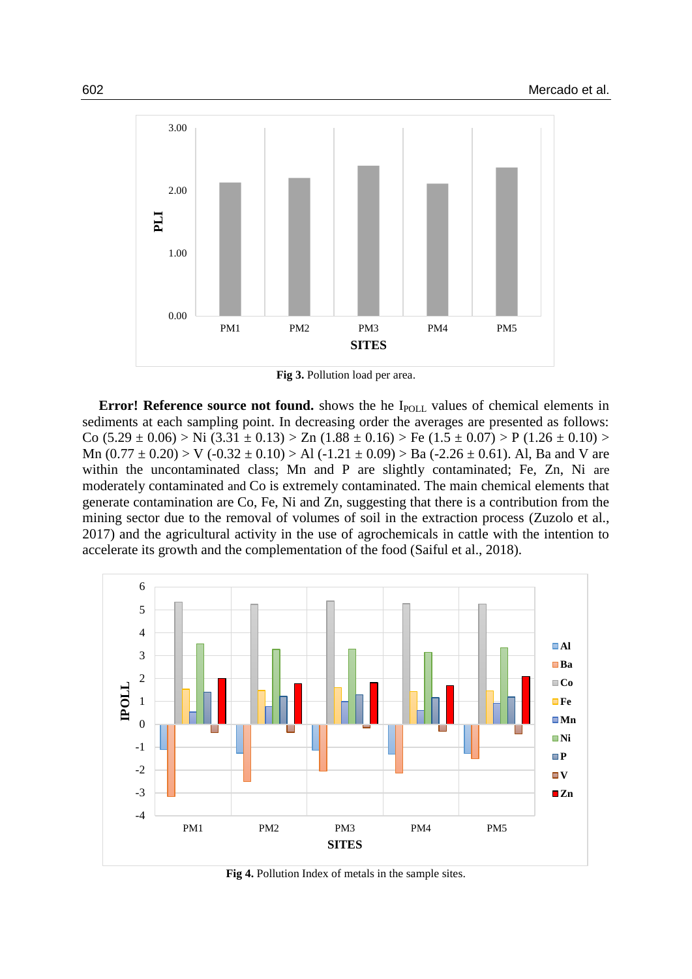

**Fig 3.** Pollution load per area.

<span id="page-7-0"></span>**Error! Reference source not found.** shows the he I<sub>POLL</sub> values of chemical elements in sediments at each sampling point. In decreasing order the averages are presented as follows: Co  $(5.29 \pm 0.06)$  > Ni  $(3.31 \pm 0.13)$  > Zn  $(1.88 \pm 0.16)$  > Fe  $(1.5 \pm 0.07)$  > P  $(1.26 \pm 0.10)$  > Mn  $(0.77 \pm 0.20)$  > V  $(-0.32 \pm 0.10)$  > Al  $(-1.21 \pm 0.09)$  > Ba  $(-2.26 \pm 0.61)$ . Al, Ba and V are within the uncontaminated class; Mn and P are slightly contaminated; Fe, Zn, Ni are moderately contaminated and Co is extremely contaminated. The main chemical elements that generate contamination are Co, Fe, Ni and Zn, suggesting that there is a contribution from the mining sector due to the removal of volumes of soil in the extraction process (Zuzolo et al., 2017) and the agricultural activity in the use of agrochemicals in cattle with the intention to accelerate its growth and the complementation of the food (Saiful et al., 2018).



**Fig 4.** Pollution Index of metals in the sample sites.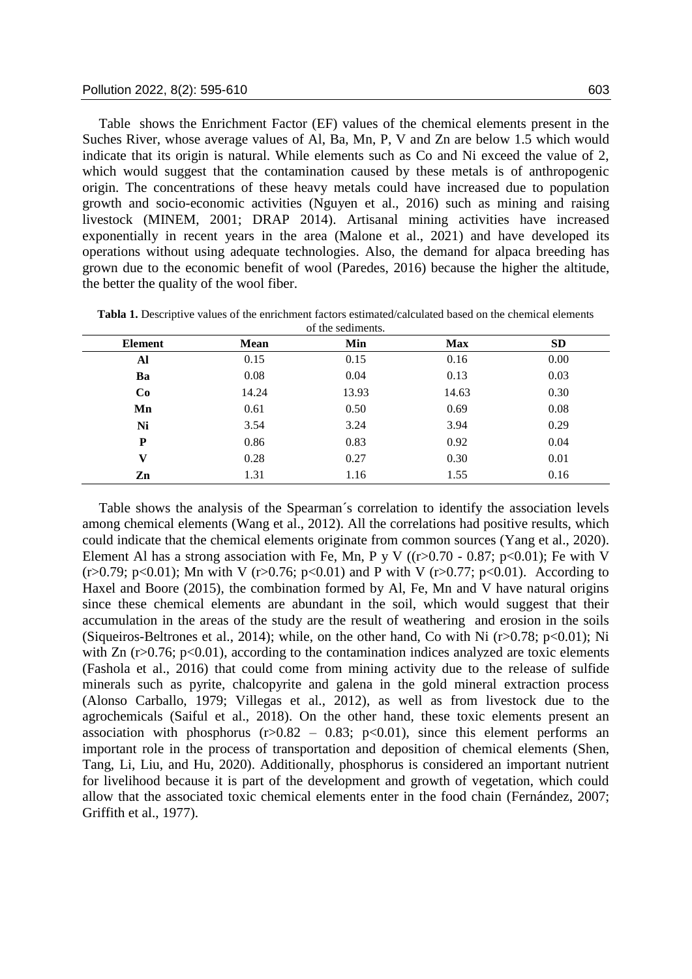[Table](#page-9-0) shows the Enrichment Factor (EF) values of the chemical elements present in the Suches River, whose average values of Al, Ba, Mn, P, V and Zn are below 1.5 which would indicate that its origin is natural. While elements such as Co and Ni exceed the value of 2, which would suggest that the contamination caused by these metals is of anthropogenic origin. The concentrations of these heavy metals could have increased due to population growth and socio-economic activities (Nguyen et al., 2016) such as mining and raising livestock (MINEM, 2001; DRAP 2014). Artisanal mining activities have increased exponentially in recent years in the area (Malone et al., 2021) and have developed its operations without using adequate technologies. Also, the demand for alpaca breeding has grown due to the economic benefit of wool (Paredes, 2016) because the higher the altitude, the better the quality of the wool fiber.

| Element      | <b>Mean</b> | Min   | <b>Max</b> | <b>SD</b> |
|--------------|-------------|-------|------------|-----------|
| Al           | 0.15        | 0.15  | 0.16       | 0.00      |
| Ba           | 0.08        | 0.04  | 0.13       | 0.03      |
| Co           | 14.24       | 13.93 | 14.63      | 0.30      |
| Mn           | 0.61        | 0.50  | 0.69       | 0.08      |
| Ni           | 3.54        | 3.24  | 3.94       | 0.29      |
| P            | 0.86        | 0.83  | 0.92       | 0.04      |
| $\mathbf{V}$ | 0.28        | 0.27  | 0.30       | 0.01      |
| Zn           | 1.31        | 1.16  | 1.55       | 0.16      |

**Tabla 1.** Descriptive values of the enrichment factors estimated/calculated based on the chemical elements of the sediments.

[Table](#page-9-0) shows the analysis of the Spearman´s correlation to identify the association levels among chemical elements (Wang et al., 2012). All the correlations had positive results, which could indicate that the chemical elements originate from common sources (Yang et al., 2020). Element Al has a strong association with Fe, Mn, P y V ( $(r>0.70 - 0.87; p<0.01)$ ; Fe with V  $(r>0.79; p<0.01)$ ; Mn with V  $(r>0.76; p<0.01)$  and P with V  $(r>0.77; p<0.01)$ . According to Haxel and Boore (2015), the combination formed by Al, Fe, Mn and V have natural origins since these chemical elements are abundant in the soil, which would suggest that their accumulation in the areas of the study are the result of weathering and erosion in the soils (Siqueiros-Beltrones et al., 2014); while, on the other hand, Co with Ni (r>0.78; p<0.01); Ni with Zn  $(r>0.76; p<0.01)$ , according to the contamination indices analyzed are toxic elements (Fashola et al., 2016) that could come from mining activity due to the release of sulfide minerals such as pyrite, chalcopyrite and galena in the gold mineral extraction process (Alonso Carballo, 1979; Villegas et al., 2012), as well as from livestock due to the agrochemicals (Saiful et al., 2018). On the other hand, these toxic elements present an association with phosphorus  $(r>0.82 - 0.83; p<0.01)$ , since this element performs an important role in the process of transportation and deposition of chemical elements (Shen, Tang, Li, Liu, and Hu, 2020). Additionally, phosphorus is considered an important nutrient for livelihood because it is part of the development and growth of vegetation, which could allow that the associated toxic chemical elements enter in the food chain (Fernández, 2007; Griffith et al., 1977).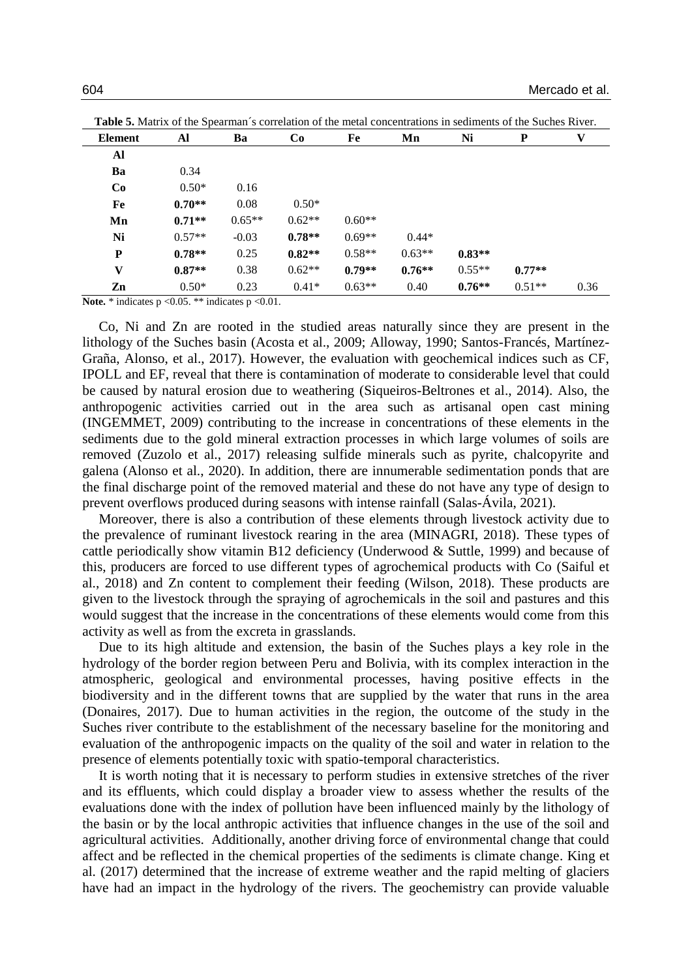| <b>Element</b> | Al       | Ba       | Co       | Fe       | Mn       | Ni       | $\mathbf P$ | V    |
|----------------|----------|----------|----------|----------|----------|----------|-------------|------|
| Al             |          |          |          |          |          |          |             |      |
| Ba             | 0.34     |          |          |          |          |          |             |      |
| Co             | $0.50*$  | 0.16     |          |          |          |          |             |      |
| Fe             | $0.70**$ | 0.08     | $0.50*$  |          |          |          |             |      |
| Mn             | $0.71**$ | $0.65**$ | $0.62**$ | $0.60**$ |          |          |             |      |
| Ni             | $0.57**$ | $-0.03$  | $0.78**$ | $0.69**$ | $0.44*$  |          |             |      |
| P              | $0.78**$ | 0.25     | $0.82**$ | $0.58**$ | $0.63**$ | $0.83**$ |             |      |
| $\mathbf{V}$   | $0.87**$ | 0.38     | $0.62**$ | $0.79**$ | $0.76**$ | $0.55**$ | $0.77**$    |      |
| Zn             | $0.50*$  | 0.23     | $0.41*$  | $0.63**$ | 0.40     | $0.76**$ | $0.51**$    | 0.36 |

<span id="page-9-0"></span>**Table 5.** Matrix of the Spearman´s correlation of the metal concentrations in sediments of the Suches River.

**Note.** \* indicates  $p \le 0.05$ . \*\* indicates  $p \le 0.01$ .

Co, Ni and Zn are rooted in the studied areas naturally since they are present in the lithology of the Suches basin (Acosta et al., 2009; Alloway, 1990; Santos-Francés, Martínez-Graña, Alonso, et al., 2017). However, the evaluation with geochemical indices such as CF, IPOLL and EF, reveal that there is contamination of moderate to considerable level that could be caused by natural erosion due to weathering (Siqueiros-Beltrones et al., 2014). Also, the anthropogenic activities carried out in the area such as artisanal open cast mining (INGEMMET, 2009) contributing to the increase in concentrations of these elements in the sediments due to the gold mineral extraction processes in which large volumes of soils are removed (Zuzolo et al., 2017) releasing sulfide minerals such as pyrite, chalcopyrite and galena (Alonso et al., 2020). In addition, there are innumerable sedimentation ponds that are the final discharge point of the removed material and these do not have any type of design to prevent overflows produced during seasons with intense rainfall (Salas-Ávila, 2021).

Moreover, there is also a contribution of these elements through livestock activity due to the prevalence of ruminant livestock rearing in the area (MINAGRI, 2018). These types of cattle periodically show vitamin B12 deficiency (Underwood & Suttle, 1999) and because of this, producers are forced to use different types of agrochemical products with Co (Saiful et al., 2018) and Zn content to complement their feeding (Wilson, 2018). These products are given to the livestock through the spraying of agrochemicals in the soil and pastures and this would suggest that the increase in the concentrations of these elements would come from this activity as well as from the excreta in grasslands.

Due to its high altitude and extension, the basin of the Suches plays a key role in the hydrology of the border region between Peru and Bolivia, with its complex interaction in the atmospheric, geological and environmental processes, having positive effects in the biodiversity and in the different towns that are supplied by the water that runs in the area (Donaires, 2017). Due to human activities in the region, the outcome of the study in the Suches river contribute to the establishment of the necessary baseline for the monitoring and evaluation of the anthropogenic impacts on the quality of the soil and water in relation to the presence of elements potentially toxic with spatio-temporal characteristics.

It is worth noting that it is necessary to perform studies in extensive stretches of the river and its effluents, which could display a broader view to assess whether the results of the evaluations done with the index of pollution have been influenced mainly by the lithology of the basin or by the local anthropic activities that influence changes in the use of the soil and agricultural activities. Additionally, another driving force of environmental change that could affect and be reflected in the chemical properties of the sediments is climate change. King et al. (2017) determined that the increase of extreme weather and the rapid melting of glaciers have had an impact in the hydrology of the rivers. The geochemistry can provide valuable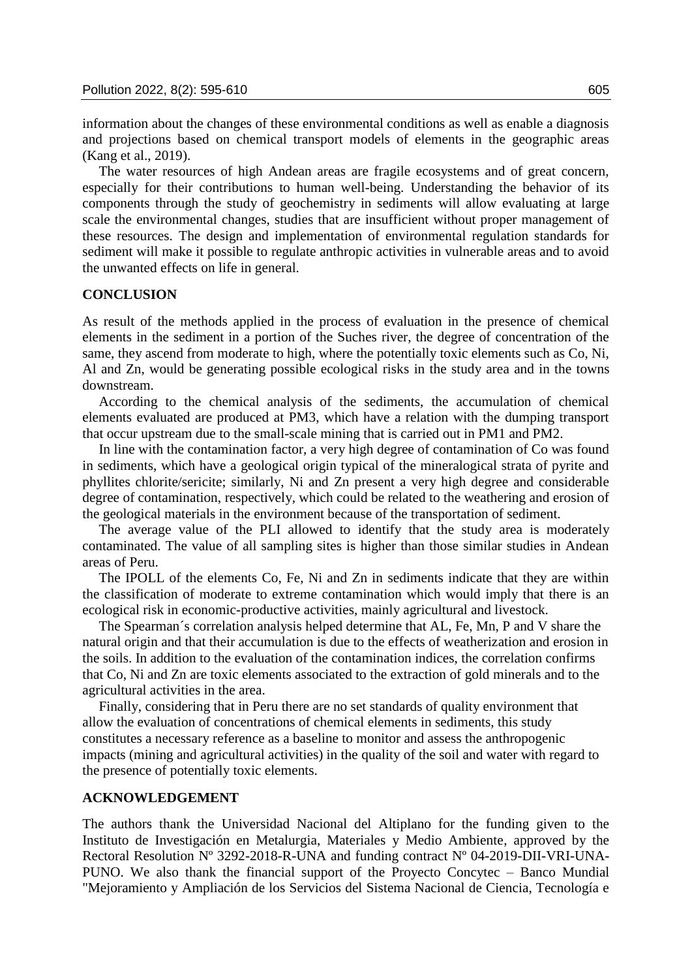information about the changes of these environmental conditions as well as enable a diagnosis and projections based on chemical transport models of elements in the geographic areas (Kang et al., 2019).

The water resources of high Andean areas are fragile ecosystems and of great concern, especially for their contributions to human well-being. Understanding the behavior of its components through the study of geochemistry in sediments will allow evaluating at large scale the environmental changes, studies that are insufficient without proper management of these resources. The design and implementation of environmental regulation standards for sediment will make it possible to regulate anthropic activities in vulnerable areas and to avoid the unwanted effects on life in general.

#### **CONCLUSION**

As result of the methods applied in the process of evaluation in the presence of chemical elements in the sediment in a portion of the Suches river, the degree of concentration of the same, they ascend from moderate to high, where the potentially toxic elements such as Co, Ni, Al and Zn, would be generating possible ecological risks in the study area and in the towns downstream.

According to the chemical analysis of the sediments, the accumulation of chemical elements evaluated are produced at PM3, which have a relation with the dumping transport that occur upstream due to the small-scale mining that is carried out in PM1 and PM2.

In line with the contamination factor, a very high degree of contamination of Co was found in sediments, which have a geological origin typical of the mineralogical strata of pyrite and phyllites chlorite/sericite; similarly, Ni and Zn present a very high degree and considerable degree of contamination, respectively, which could be related to the weathering and erosion of the geological materials in the environment because of the transportation of sediment.

The average value of the PLI allowed to identify that the study area is moderately contaminated. The value of all sampling sites is higher than those similar studies in Andean areas of Peru.

The IPOLL of the elements Co, Fe, Ni and Zn in sediments indicate that they are within the classification of moderate to extreme contamination which would imply that there is an ecological risk in economic-productive activities, mainly agricultural and livestock.

The Spearman´s correlation analysis helped determine that AL, Fe, Mn, P and V share the natural origin and that their accumulation is due to the effects of weatherization and erosion in the soils. In addition to the evaluation of the contamination indices, the correlation confirms that Co, Ni and Zn are toxic elements associated to the extraction of gold minerals and to the agricultural activities in the area.

Finally, considering that in Peru there are no set standards of quality environment that allow the evaluation of concentrations of chemical elements in sediments, this study constitutes a necessary reference as a baseline to monitor and assess the anthropogenic impacts (mining and agricultural activities) in the quality of the soil and water with regard to the presence of potentially toxic elements.

## **ACKNOWLEDGEMENT**

The authors thank the Universidad Nacional del Altiplano for the funding given to the Instituto de Investigación en Metalurgia, Materiales y Medio Ambiente, approved by the Rectoral Resolution N° 3292-2018-R-UNA and funding contract N° 04-2019-DII-VRI-UNA-PUNO. We also thank the financial support of the Proyecto Concytec – Banco Mundial "Mejoramiento y Ampliación de los Servicios del Sistema Nacional de Ciencia, Tecnología e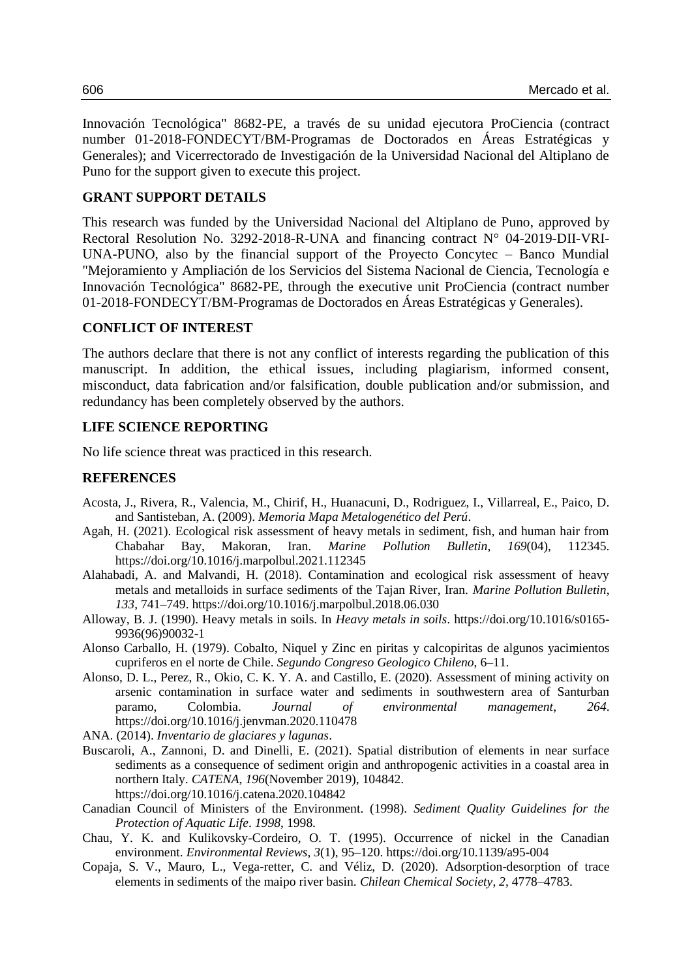Innovación Tecnológica" 8682-PE, a través de su unidad ejecutora ProCiencia (contract number 01-2018-FONDECYT/BM-Programas de Doctorados en Áreas Estratégicas y Generales); and Vicerrectorado de Investigación de la Universidad Nacional del Altiplano de Puno for the support given to execute this project.

# **GRANT SUPPORT DETAILS**

This research was funded by the Universidad Nacional del Altiplano de Puno, approved by Rectoral Resolution No. 3292-2018-R-UNA and financing contract N° 04-2019-DII-VRI-UNA-PUNO, also by the financial support of the Proyecto Concytec – Banco Mundial "Mejoramiento y Ampliación de los Servicios del Sistema Nacional de Ciencia, Tecnología e Innovación Tecnológica" 8682-PE, through the executive unit ProCiencia (contract number 01-2018-FONDECYT/BM-Programas de Doctorados en Áreas Estratégicas y Generales).

## **CONFLICT OF INTEREST**

The authors declare that there is not any conflict of interests regarding the publication of this manuscript. In addition, the ethical issues, including plagiarism, informed consent, misconduct, data fabrication and/or falsification, double publication and/or submission, and redundancy has been completely observed by the authors.

# **LIFE SCIENCE REPORTING**

No life science threat was practiced in this research.

# **REFERENCES**

- Acosta, J., Rivera, R., Valencia, M., Chirif, H., Huanacuni, D., Rodriguez, I., Villarreal, E., Paico, D. and Santisteban, A. (2009). *Memoria Mapa Metalogenético del Perú*.
- Agah, H. (2021). Ecological risk assessment of heavy metals in sediment, fish, and human hair from Chabahar Bay, Makoran, Iran. *Marine Pollution Bulletin*, *169*(04), 112345. https://doi.org/10.1016/j.marpolbul.2021.112345
- Alahabadi, A. and Malvandi, H. (2018). Contamination and ecological risk assessment of heavy metals and metalloids in surface sediments of the Tajan River, Iran. *Marine Pollution Bulletin*, *133*, 741–749. https://doi.org/10.1016/j.marpolbul.2018.06.030
- Alloway, B. J. (1990). Heavy metals in soils. In *Heavy metals in soils*. https://doi.org/10.1016/s0165- 9936(96)90032-1
- Alonso Carballo, H. (1979). Cobalto, Niquel y Zinc en piritas y calcopiritas de algunos yacimientos cupriferos en el norte de Chile. *Segundo Congreso Geologico Chileno*, 6–11.
- Alonso, D. L., Perez, R., Okio, C. K. Y. A. and Castillo, E. (2020). Assessment of mining activity on arsenic contamination in surface water and sediments in southwestern area of Santurban paramo, Colombia. *Journal of environmental management*, *264*. https://doi.org/10.1016/j.jenvman.2020.110478
- ANA. (2014). *Inventario de glaciares y lagunas*.
- Buscaroli, A., Zannoni, D. and Dinelli, E. (2021). Spatial distribution of elements in near surface sediments as a consequence of sediment origin and anthropogenic activities in a coastal area in northern Italy. *CATENA*, *196*(November 2019), 104842. https://doi.org/10.1016/j.catena.2020.104842
- Canadian Council of Ministers of the Environment. (1998). *Sediment Quality Guidelines for the Protection of Aquatic Life*. *1998*, 1998.
- Chau, Y. K. and Kulikovsky-Cordeiro, O. T. (1995). Occurrence of nickel in the Canadian environment. *Environmental Reviews*, *3*(1), 95–120. https://doi.org/10.1139/a95-004
- Copaja, S. V., Mauro, L., Vega-retter, C. and Véliz, D. (2020). Adsorption-desorption of trace elements in sediments of the maipo river basin. *Chilean Chemical Society*, *2*, 4778–4783.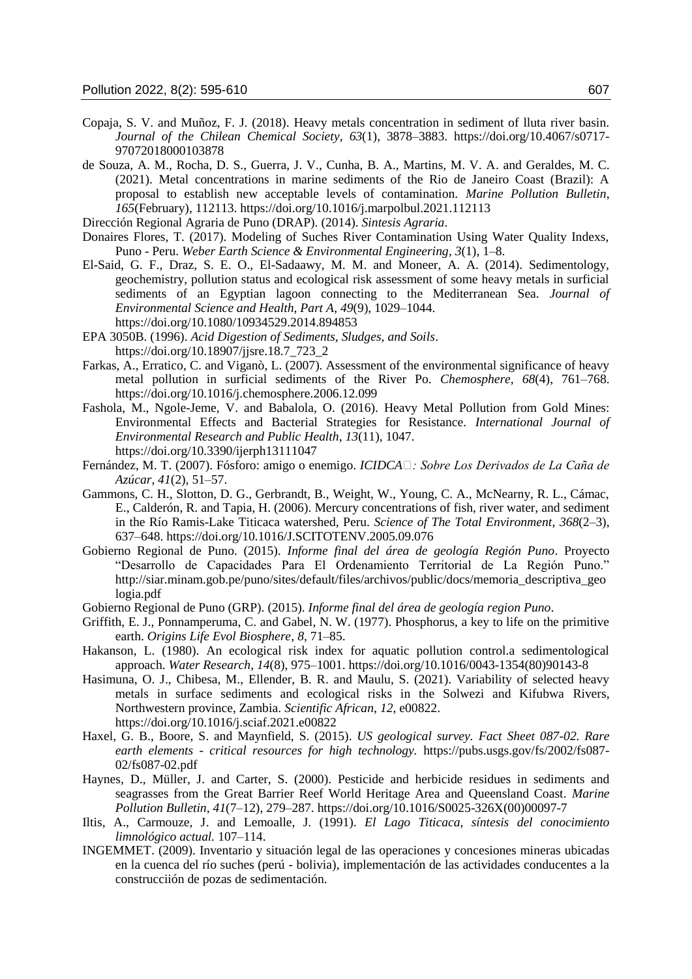- Copaja, S. V. and Muñoz, F. J. (2018). Heavy metals concentration in sediment of lluta river basin. *Journal of the Chilean Chemical Society*, *63*(1), 3878–3883. https://doi.org/10.4067/s0717- 97072018000103878
- de Souza, A. M., Rocha, D. S., Guerra, J. V., Cunha, B. A., Martins, M. V. A. and Geraldes, M. C. (2021). Metal concentrations in marine sediments of the Rio de Janeiro Coast (Brazil): A proposal to establish new acceptable levels of contamination. *Marine Pollution Bulletin*, *165*(February), 112113. https://doi.org/10.1016/j.marpolbul.2021.112113

Dirección Regional Agraria de Puno (DRAP). (2014). *Sintesis Agraria*.

- Donaires Flores, T. (2017). Modeling of Suches River Contamination Using Water Quality Indexs, Puno - Peru. *Weber Earth Science & Environmental Engineering*, *3*(1), 1–8.
- El-Said, G. F., Draz, S. E. O., El-Sadaawy, M. M. and Moneer, A. A. (2014). Sedimentology, geochemistry, pollution status and ecological risk assessment of some heavy metals in surficial sediments of an Egyptian lagoon connecting to the Mediterranean Sea. *Journal of Environmental Science and Health, Part A*, *49*(9), 1029–1044. https://doi.org/10.1080/10934529.2014.894853
- EPA 3050B. (1996). *Acid Digestion of Sediments, Sludges, and Soils*. https://doi.org/10.18907/jjsre.18.7\_723\_2
- Farkas, A., Erratico, C. and Viganò, L. (2007). Assessment of the environmental significance of heavy metal pollution in surficial sediments of the River Po. *Chemosphere*, *68*(4), 761–768. https://doi.org/10.1016/j.chemosphere.2006.12.099
- Fashola, M., Ngole-Jeme, V. and Babalola, O. (2016). Heavy Metal Pollution from Gold Mines: Environmental Effects and Bacterial Strategies for Resistance. *International Journal of Environmental Research and Public Health*, *13*(11), 1047. https://doi.org/10.3390/ijerph13111047
- Fernández, M. T. (2007). Fósforo: amigo o enemigo. *ICIDCA : Sobre Los Derivados de La Caña de Azúcar*, *41*(2), 51–57.
- Gammons, C. H., Slotton, D. G., Gerbrandt, B., Weight, W., Young, C. A., McNearny, R. L., Cámac, E., Calderón, R. and Tapia, H. (2006). Mercury concentrations of fish, river water, and sediment in the Río Ramis-Lake Titicaca watershed, Peru. *Science of The Total Environment*, *368*(2–3), 637–648. https://doi.org/10.1016/J.SCITOTENV.2005.09.076
- Gobierno Regional de Puno. (2015). *Informe final del área de geología Región Puno*. Proyecto "Desarrollo de Capacidades Para El Ordenamiento Territorial de La Región Puno." http://siar.minam.gob.pe/puno/sites/default/files/archivos/public/docs/memoria\_descriptiva\_geo logia.pdf
- Gobierno Regional de Puno (GRP). (2015). *Informe final del área de geología region Puno*.
- Griffith, E. J., Ponnamperuma, C. and Gabel, N. W. (1977). Phosphorus, a key to life on the primitive earth. *Origins Life Evol Biosphere*, *8*, 71–85.
- Hakanson, L. (1980). An ecological risk index for aquatic pollution control.a sedimentological approach. *Water Research*, *14*(8), 975–1001. https://doi.org/10.1016/0043-1354(80)90143-8
- Hasimuna, O. J., Chibesa, M., Ellender, B. R. and Maulu, S. (2021). Variability of selected heavy metals in surface sediments and ecological risks in the Solwezi and Kifubwa Rivers, Northwestern province, Zambia. *Scientific African*, *12*, e00822. https://doi.org/10.1016/j.sciaf.2021.e00822
- Haxel, G. B., Boore, S. and Maynfield, S. (2015). *US geological survey. Fact Sheet 087-02. Rare earth elements - critical resources for high technology.* https://pubs.usgs.gov/fs/2002/fs087- 02/fs087-02.pdf
- Haynes, D., Müller, J. and Carter, S. (2000). Pesticide and herbicide residues in sediments and seagrasses from the Great Barrier Reef World Heritage Area and Queensland Coast. *Marine Pollution Bulletin*, *41*(7–12), 279–287. https://doi.org/10.1016/S0025-326X(00)00097-7
- Iltis, A., Carmouze, J. and Lemoalle, J. (1991). *El Lago Titicaca, síntesis del conocimiento limnológico actual.* 107–114.
- INGEMMET. (2009). Inventario y situación legal de las operaciones y concesiones mineras ubicadas en la cuenca del río suches (perú - bolivia), implementación de las actividades conducentes a la construcciión de pozas de sedimentación.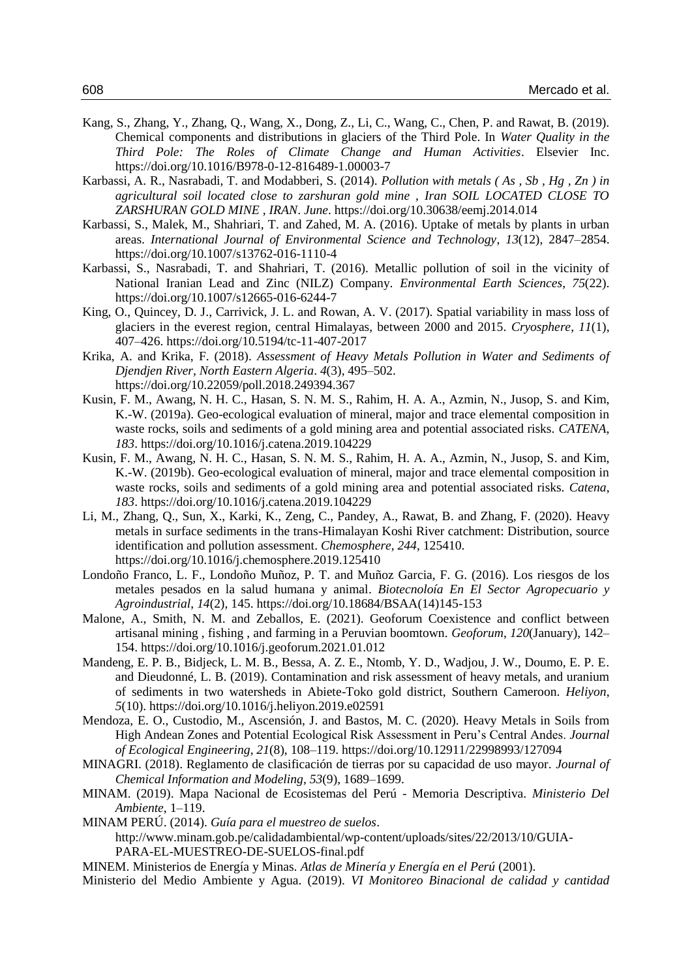- Kang, S., Zhang, Y., Zhang, Q., Wang, X., Dong, Z., Li, C., Wang, C., Chen, P. and Rawat, B. (2019). Chemical components and distributions in glaciers of the Third Pole. In *Water Quality in the Third Pole: The Roles of Climate Change and Human Activities*. Elsevier Inc. https://doi.org/10.1016/B978-0-12-816489-1.00003-7
- Karbassi, A. R., Nasrabadi, T. and Modabberi, S. (2014). *Pollution with metals ( As , Sb , Hg , Zn ) in agricultural soil located close to zarshuran gold mine , Iran SOIL LOCATED CLOSE TO ZARSHURAN GOLD MINE , IRAN*. *June*. https://doi.org/10.30638/eemj.2014.014
- Karbassi, S., Malek, M., Shahriari, T. and Zahed, M. A. (2016). Uptake of metals by plants in urban areas. *International Journal of Environmental Science and Technology*, *13*(12), 2847–2854. https://doi.org/10.1007/s13762-016-1110-4
- Karbassi, S., Nasrabadi, T. and Shahriari, T. (2016). Metallic pollution of soil in the vicinity of National Iranian Lead and Zinc (NILZ) Company. *Environmental Earth Sciences*, *75*(22). https://doi.org/10.1007/s12665-016-6244-7
- King, O., Quincey, D. J., Carrivick, J. L. and Rowan, A. V. (2017). Spatial variability in mass loss of glaciers in the everest region, central Himalayas, between 2000 and 2015. *Cryosphere*, *11*(1), 407–426. https://doi.org/10.5194/tc-11-407-2017
- Krika, A. and Krika, F. (2018). *Assessment of Heavy Metals Pollution in Water and Sediments of Djendjen River, North Eastern Algeria*. *4*(3), 495–502. https://doi.org/10.22059/poll.2018.249394.367
- Kusin, F. M., Awang, N. H. C., Hasan, S. N. M. S., Rahim, H. A. A., Azmin, N., Jusop, S. and Kim, K.-W. (2019a). Geo-ecological evaluation of mineral, major and trace elemental composition in waste rocks, soils and sediments of a gold mining area and potential associated risks. *CATENA*, *183*. https://doi.org/10.1016/j.catena.2019.104229
- Kusin, F. M., Awang, N. H. C., Hasan, S. N. M. S., Rahim, H. A. A., Azmin, N., Jusop, S. and Kim, K.-W. (2019b). Geo-ecological evaluation of mineral, major and trace elemental composition in waste rocks, soils and sediments of a gold mining area and potential associated risks. *Catena*, *183*. https://doi.org/10.1016/j.catena.2019.104229
- Li, M., Zhang, Q., Sun, X., Karki, K., Zeng, C., Pandey, A., Rawat, B. and Zhang, F. (2020). Heavy metals in surface sediments in the trans-Himalayan Koshi River catchment: Distribution, source identification and pollution assessment. *Chemosphere*, *244*, 125410. https://doi.org/10.1016/j.chemosphere.2019.125410
- Londoño Franco, L. F., Londoño Muñoz, P. T. and Muñoz Garcia, F. G. (2016). Los riesgos de los metales pesados en la salud humana y animal. *Biotecnoloía En El Sector Agropecuario y Agroindustrial*, *14*(2), 145. https://doi.org/10.18684/BSAA(14)145-153
- Malone, A., Smith, N. M. and Zeballos, E. (2021). Geoforum Coexistence and conflict between artisanal mining , fishing , and farming in a Peruvian boomtown. *Geoforum*, *120*(January), 142– 154. https://doi.org/10.1016/j.geoforum.2021.01.012
- Mandeng, E. P. B., Bidjeck, L. M. B., Bessa, A. Z. E., Ntomb, Y. D., Wadjou, J. W., Doumo, E. P. E. and Dieudonné, L. B. (2019). Contamination and risk assessment of heavy metals, and uranium of sediments in two watersheds in Abiete-Toko gold district, Southern Cameroon. *Heliyon*, *5*(10). https://doi.org/10.1016/j.heliyon.2019.e02591
- Mendoza, E. O., Custodio, M., Ascensión, J. and Bastos, M. C. (2020). Heavy Metals in Soils from High Andean Zones and Potential Ecological Risk Assessment in Peru's Central Andes. *Journal of Ecological Engineering*, *21*(8), 108–119. https://doi.org/10.12911/22998993/127094
- MINAGRI. (2018). Reglamento de clasificación de tierras por su capacidad de uso mayor. *Journal of Chemical Information and Modeling*, *53*(9), 1689–1699.
- MINAM. (2019). Mapa Nacional de Ecosistemas del Perú Memoria Descriptiva. *Ministerio Del Ambiente*, 1–119.
- MINAM PERÚ. (2014). *Guía para el muestreo de suelos*.
	- http://www.minam.gob.pe/calidadambiental/wp-content/uploads/sites/22/2013/10/GUIA-PARA-EL-MUESTREO-DE-SUELOS-final.pdf
- MINEM. Ministerios de Energía y Minas. *Atlas de Minería y Energía en el Perú* (2001).
- Ministerio del Medio Ambiente y Agua. (2019). *VI Monitoreo Binacional de calidad y cantidad*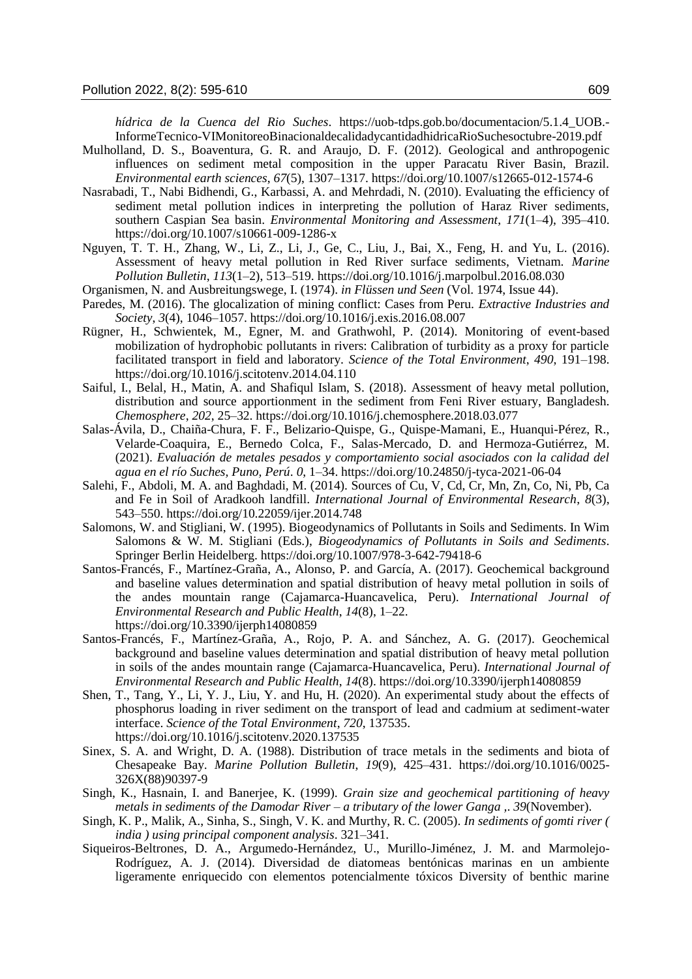*hídrica de la Cuenca del Rio Suches*. https://uob-tdps.gob.bo/documentacion/5.1.4\_UOB.- InformeTecnico-VIMonitoreoBinacionaldecalidadycantidadhidricaRioSuchesoctubre-2019.pdf

- Mulholland, D. S., Boaventura, G. R. and Araujo, D. F. (2012). Geological and anthropogenic influences on sediment metal composition in the upper Paracatu River Basin, Brazil. *Environmental earth sciences*, *67*(5), 1307–1317. https://doi.org/10.1007/s12665-012-1574-6
- Nasrabadi, T., Nabi Bidhendi, G., Karbassi, A. and Mehrdadi, N. (2010). Evaluating the efficiency of sediment metal pollution indices in interpreting the pollution of Haraz River sediments, southern Caspian Sea basin. *Environmental Monitoring and Assessment*, *171*(1–4), 395–410. https://doi.org/10.1007/s10661-009-1286-x
- Nguyen, T. T. H., Zhang, W., Li, Z., Li, J., Ge, C., Liu, J., Bai, X., Feng, H. and Yu, L. (2016). Assessment of heavy metal pollution in Red River surface sediments, Vietnam. *Marine Pollution Bulletin*, *113*(1–2), 513–519. https://doi.org/10.1016/j.marpolbul.2016.08.030
- Organismen, N. and Ausbreitungswege, I. (1974). *in Flüssen und Seen* (Vol. 1974, Issue 44).
- Paredes, M. (2016). The glocalization of mining conflict: Cases from Peru. *Extractive Industries and Society*, *3*(4), 1046–1057. https://doi.org/10.1016/j.exis.2016.08.007
- Rügner, H., Schwientek, M., Egner, M. and Grathwohl, P. (2014). Monitoring of event-based mobilization of hydrophobic pollutants in rivers: Calibration of turbidity as a proxy for particle facilitated transport in field and laboratory. *Science of the Total Environment*, *490*, 191–198. https://doi.org/10.1016/j.scitotenv.2014.04.110
- Saiful, I., Belal, H., Matin, A. and Shafiqul Islam, S. (2018). Assessment of heavy metal pollution, distribution and source apportionment in the sediment from Feni River estuary, Bangladesh. *Chemosphere*, *202*, 25–32. https://doi.org/10.1016/j.chemosphere.2018.03.077
- Salas-Ávila, D., Chaiña-Chura, F. F., Belizario-Quispe, G., Quispe-Mamani, E., Huanqui-Pérez, R., Velarde-Coaquira, E., Bernedo Colca, F., Salas-Mercado, D. and Hermoza-Gutiérrez, M. (2021). *Evaluación de metales pesados y comportamiento social asociados con la calidad del agua en el río Suches, Puno, Perú*. *0*, 1–34. https://doi.org/10.24850/j-tyca-2021-06-04
- Salehi, F., Abdoli, M. A. and Baghdadi, M. (2014). Sources of Cu, V, Cd, Cr, Mn, Zn, Co, Ni, Pb, Ca and Fe in Soil of Aradkooh landfill. *International Journal of Environmental Research*, *8*(3), 543–550. https://doi.org/10.22059/ijer.2014.748
- Salomons, W. and Stigliani, W. (1995). Biogeodynamics of Pollutants in Soils and Sediments. In Wim Salomons & W. M. Stigliani (Eds.), *Biogeodynamics of Pollutants in Soils and Sediments*. Springer Berlin Heidelberg. https://doi.org/10.1007/978-3-642-79418-6
- Santos-Francés, F., Martínez-Graña, A., Alonso, P. and García, A. (2017). Geochemical background and baseline values determination and spatial distribution of heavy metal pollution in soils of the andes mountain range (Cajamarca-Huancavelica, Peru). *International Journal of Environmental Research and Public Health*, *14*(8), 1–22. https://doi.org/10.3390/ijerph14080859
- Santos-Francés, F., Martínez-Graña, A., Rojo, P. A. and Sánchez, A. G. (2017). Geochemical background and baseline values determination and spatial distribution of heavy metal pollution in soils of the andes mountain range (Cajamarca-Huancavelica, Peru). *International Journal of Environmental Research and Public Health*, *14*(8). https://doi.org/10.3390/ijerph14080859
- Shen, T., Tang, Y., Li, Y. J., Liu, Y. and Hu, H. (2020). An experimental study about the effects of phosphorus loading in river sediment on the transport of lead and cadmium at sediment-water interface. *Science of the Total Environment*, *720*, 137535. https://doi.org/10.1016/j.scitotenv.2020.137535
- Sinex, S. A. and Wright, D. A. (1988). Distribution of trace metals in the sediments and biota of Chesapeake Bay. *Marine Pollution Bulletin*, *19*(9), 425–431. https://doi.org/10.1016/0025- 326X(88)90397-9
- Singh, K., Hasnain, I. and Banerjee, K. (1999). *Grain size and geochemical partitioning of heavy metals in sediments of the Damodar River – a tributary of the lower Ganga ,*. *39*(November).
- Singh, K. P., Malik, A., Sinha, S., Singh, V. K. and Murthy, R. C. (2005). *In sediments of gomti river ( india ) using principal component analysis*. 321–341.
- Siqueiros-Beltrones, D. A., Argumedo-Hernández, U., Murillo-Jiménez, J. M. and Marmolejo-Rodríguez, A. J. (2014). Diversidad de diatomeas bentónicas marinas en un ambiente ligeramente enriquecido con elementos potencialmente tóxicos Diversity of benthic marine